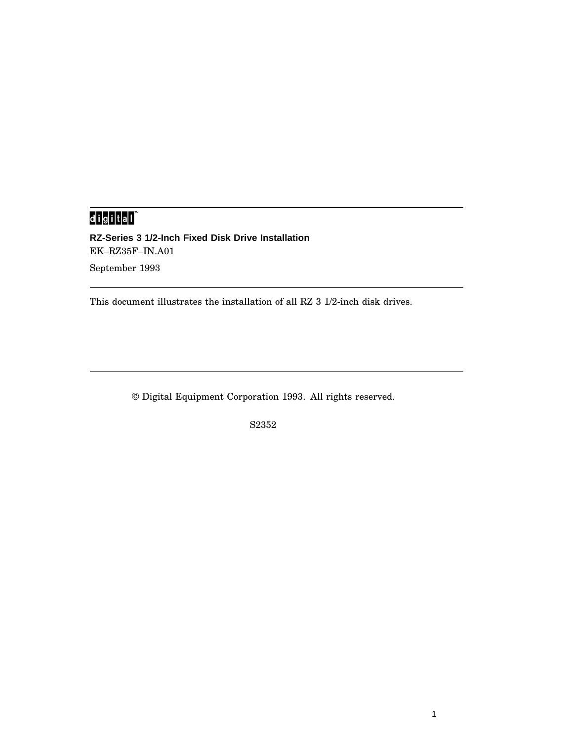# 

**RZ-Series 3 1/2-Inch Fixed Disk Drive Installation** EK–RZ35F–IN.A01 September 1993

This document illustrates the installation of all RZ 3 1/2-inch disk drives.

© Digital Equipment Corporation 1993. All rights reserved.

S2352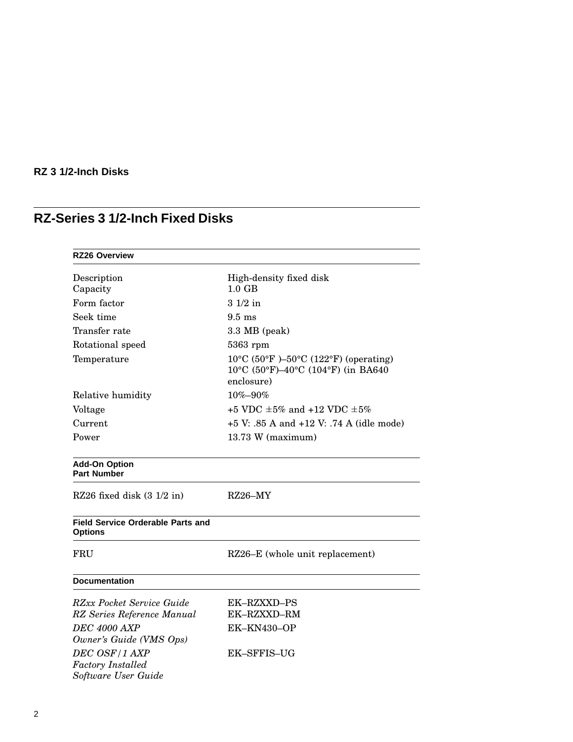# **RZ-Series 3 1/2-Inch Fixed Disks**

| <b>RZ26 Overview</b>                                             |                                                                                                    |  |
|------------------------------------------------------------------|----------------------------------------------------------------------------------------------------|--|
| Description                                                      | High-density fixed disk                                                                            |  |
| Capacity                                                         | $1.0 \text{ GB}$                                                                                   |  |
| Form factor                                                      | $31/2$ in                                                                                          |  |
| Seek time                                                        | $9.5$ ms                                                                                           |  |
| Transfer rate                                                    | 3.3 MB (peak)                                                                                      |  |
| Rotational speed                                                 | $5363$ rpm                                                                                         |  |
| Temperature                                                      | $10^{\circ}$ C (50°F)-50°C (122°F) (operating)<br>10°C (50°F)-40°C (104°F) (in BA640<br>enclosure) |  |
| Relative humidity                                                | $10\% - 90\%$                                                                                      |  |
| Voltage                                                          | +5 VDC $\pm 5\%$ and +12 VDC $\pm 5\%$                                                             |  |
| Current                                                          | $+5$ V: .85 A and $+12$ V: .74 A (idle mode)                                                       |  |
| Power                                                            | 13.73 W (maximum)                                                                                  |  |
| <b>Add-On Option</b><br><b>Part Number</b>                       |                                                                                                    |  |
| RZ26 fixed disk $(3\ 1/2\$ in)                                   | $RZ26-MY$                                                                                          |  |
| <b>Field Service Orderable Parts and</b><br><b>Options</b>       |                                                                                                    |  |
| FRU                                                              | RZ26–E (whole unit replacement)                                                                    |  |
| <b>Documentation</b>                                             |                                                                                                    |  |
| RZxx Pocket Service Guide                                        | <b>EK-RZXXD-PS</b>                                                                                 |  |
| RZ Series Reference Manual                                       | EK-RZXXD-RM                                                                                        |  |
| <b>DEC 4000 AXP</b><br>Owner's Guide (VMS Ops)                   | EK-KN430-OP                                                                                        |  |
| DEC OSF/1 AXP<br><b>Factory Installed</b><br>Software User Guide | <b>EK-SFFIS-UG</b>                                                                                 |  |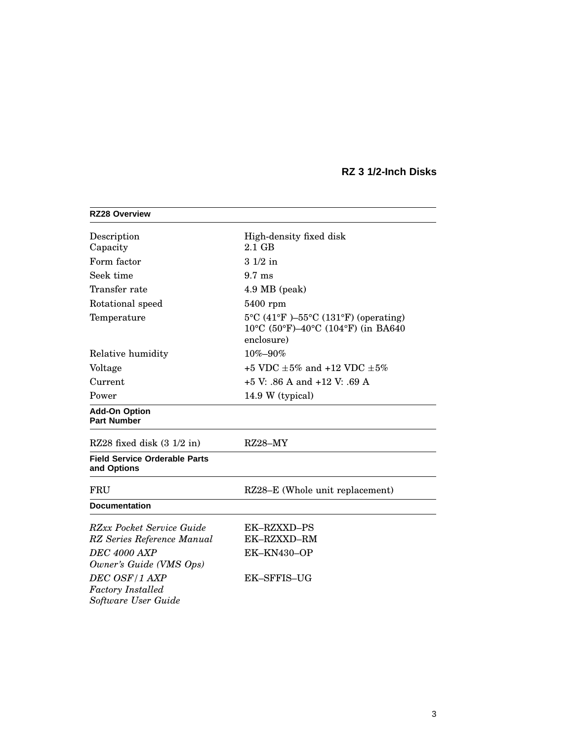| <b>RZ28 Overview</b>                                                                        |                                                                                                   |
|---------------------------------------------------------------------------------------------|---------------------------------------------------------------------------------------------------|
| Description<br>Capacity                                                                     | High-density fixed disk<br>$2.1$ GB                                                               |
| Form factor                                                                                 | $31/2$ in                                                                                         |
| Seek time                                                                                   | $9.7 \text{ ms}$                                                                                  |
| Transfer rate                                                                               | 4.9 MB (peak)                                                                                     |
| Rotational speed                                                                            | 5400 rpm                                                                                          |
| Temperature                                                                                 | 5°C (41°F)-55°C (131°F) (operating)<br>$10^{\circ}$ C (50°F)–40°C (104°F) (in BA640<br>enclosure) |
| Relative humidity                                                                           | 10%-90%                                                                                           |
| Voltage                                                                                     | +5 VDC $\pm 5\%$ and +12 VDC $\pm 5\%$                                                            |
| Current                                                                                     | $+5$ V: .86 A and $+12$ V: .69 A                                                                  |
| Power                                                                                       | 14.9 W (typical)                                                                                  |
| <b>Add-On Option</b><br><b>Part Number</b>                                                  |                                                                                                   |
| RZ28 fixed disk $(3\ 1/2\$ in)                                                              | $RZ28-MY$                                                                                         |
| <b>Field Service Orderable Parts</b><br>and Options                                         |                                                                                                   |
| FRU                                                                                         | RZ28-E (Whole unit replacement)                                                                   |
| <b>Documentation</b>                                                                        |                                                                                                   |
| <b>RZxx Pocket Service Guide</b><br>RZ Series Reference Manual<br><b>DEC 4000 AXP</b>       | <b>EK-RZXXD-PS</b><br>EK-RZXXD-RM<br>EK-KN430-OP                                                  |
| Owner's Guide (VMS Ops)<br>DEC OSF/1 AXP<br><b>Factory</b> Installed<br>Software User Guide | <b>EK-SFFIS-UG</b>                                                                                |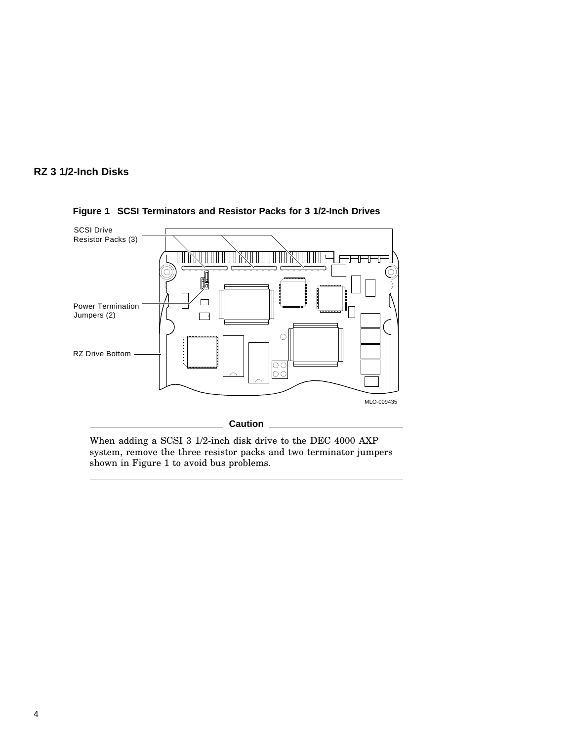



**Figure 1 SCSI Terminators and Resistor Packs for 3 1/2-Inch Drives**

When adding a SCSI 3 1/2-inch disk drive to the DEC 4000 AXP system, remove the three resistor packs and two terminator jumpers shown in Figure 1 to avoid bus problems.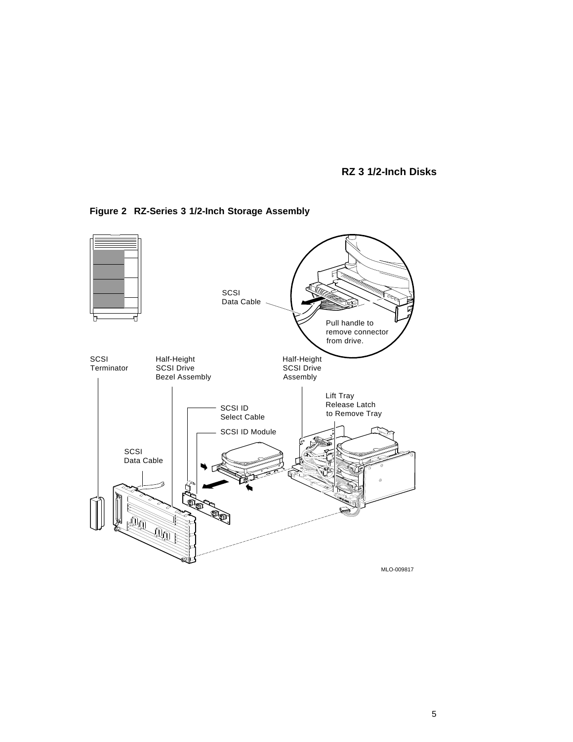

**Figure 2 RZ-Series 3 1/2-Inch Storage Assembly**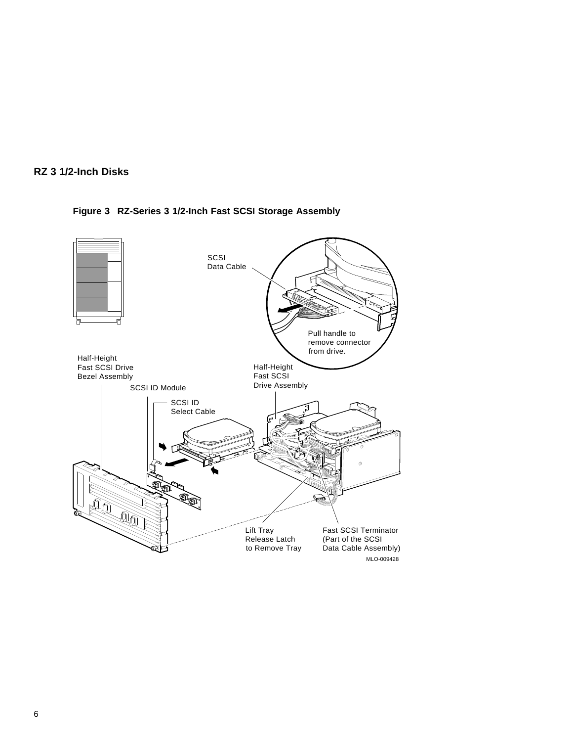



**Figure 3 RZ-Series 3 1/2-Inch Fast SCSI Storage Assembly**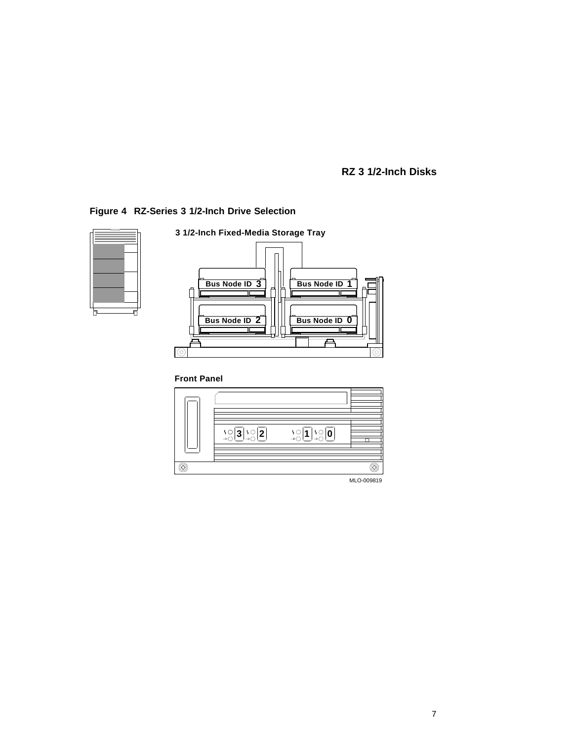### **Figure 4 RZ-Series 3 1/2-Inch Drive Selection**





MLO-009819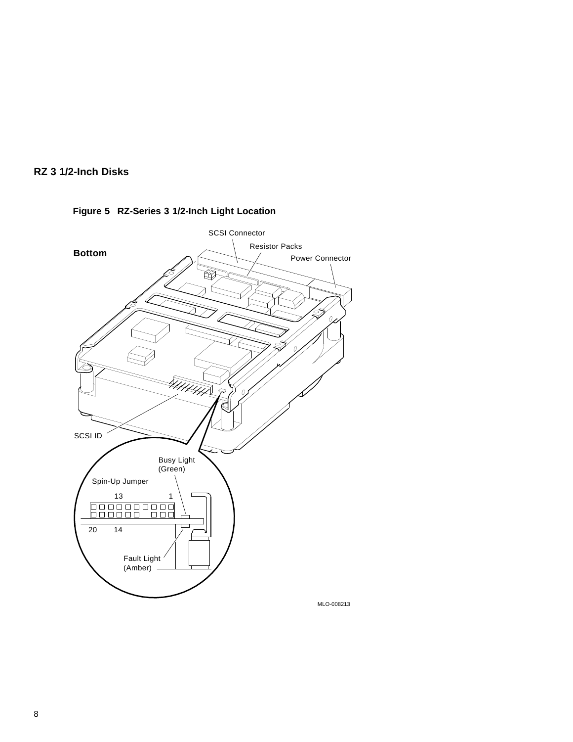



### **Figure 5 RZ-Series 3 1/2-Inch Light Location**

MLO-008213